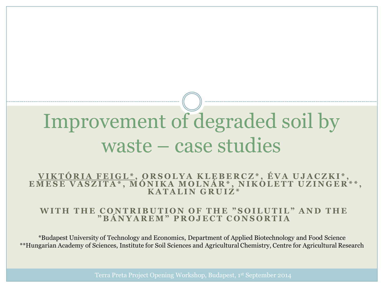# Improvement of degraded soil by waste – case studies

**V I K T Ó R I A F E I G L \* , O R S O L Y A K L E B E R C Z \* , É V A U J A C Z K I \* , E M E S E V A S Z I T A \* , M Ó N I K A M O L N Á R \* , N I K O L E T T U Z I N G E R \* \* , K A T A L I N G R U I Z \***

#### WITH THE CONTRIBUTION OF THE "SOILUTIL" AND THE **" B Á N Y A R E M " P R O J E C T C O N S O R T I A**

\*Budapest University of Technology and Economics, Department of Applied Biotechnology and Food Science \*\*Hungarian Academy of Sciences, Institute for Soil Sciences and Agricultural Chemistry, Centre for Agricultural Research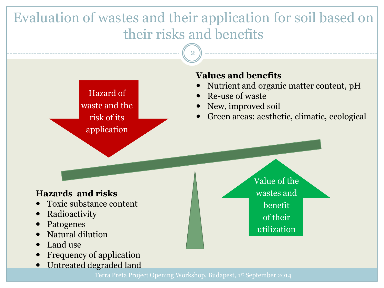### Evaluation of wastes and their application for soil based on their risks and benefits

2

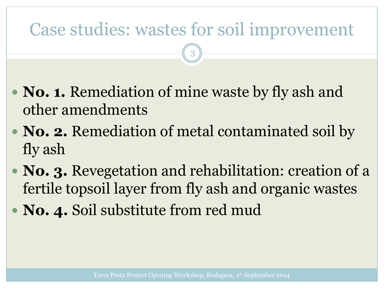## Case studies: wastes for soil improvement

3

- **No. 1.** Remediation of mine waste by fly ash and other amendments
- **No. 2.** Remediation of metal contaminated soil by fly ash
- **No. 3.** Revegetation and rehabilitation: creation of a fertile topsoil layer from fly ash and organic wastes
- **No. 4.** Soil substitute from red mud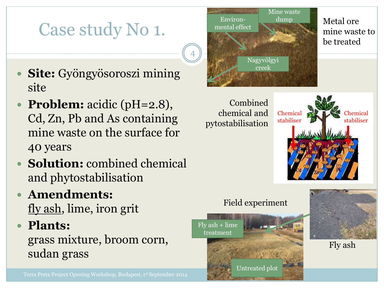### Case study No 1.

- **Site:** Gyöngyösoroszi mining site
- **Problem:** acidic (pH=2.8), Cd, Zn, Pb and As containing mine waste on the surface for 40 years
- **Solution:** combined chemical and phytostabilisation
- **Amendments:** fly ash, lime, iron grit
- **Plants:**

grass mixture, broom corn, sudan grass



Combined chemical and pytostabilisation



### Field experiment





Fly ash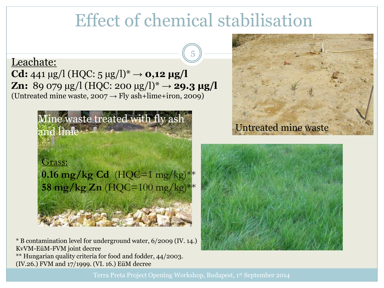### Effect of chemical stabilisation

5

#### Leachate:

**Cd:** 441 µg/l (HQC:  $5 \mu g/l$ )<sup>\*</sup>  $\rightarrow$  **0,12 µg/l Zn:** 89 079  $\mu$ g/l (HQC: 200  $\mu$ g/l)<sup>\*</sup>  $\rightarrow$  **29.3**  $\mu$ **g/l** (Untreated mine waste,  $2007 \rightarrow Fly$  ash+lime+iron, 2009)



\* B contamination level for underground water, 6/2009 (IV. 14.) KvVM-EüM-FVM joint decree \*\* Hungarian quality criteria for food and fodder, 44/2003. (IV.26.) FVM and 17/1999. (VI. 16.) EüM decree



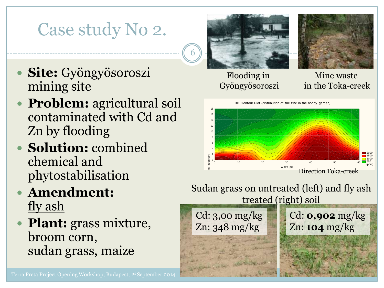## Case study No 2.

- **Site:** Gyöngyösoroszi mining site
- **Problem:** agricultural soil contaminated with Cd and Zn by flooding
- **Solution:** combined chemical and phytostabilisation
- **Amendment:** fly ash
- **Plant:** grass mixture, broom corn,



6

#### Flooding in Gyöngyösoroszi

#### Mine waste in the Toka-creek



### Sudan grass on untreated (left) and fly ash treated (right) soil

Cd: 3,00 mg/kg Zn: 348 mg/kg Cd: **0,902** mg/kg Zn: **104** mg/kg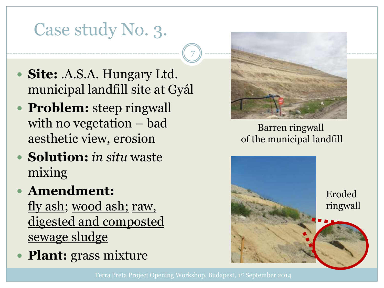## Case study No. 3.

- **Site:** .A.S.A. Hungary Ltd. municipal landfill site at Gyál
- **Problem:** steep ringwall with no vegetation – bad aesthetic view, erosion
- **Solution:** *in situ* waste mixing
- **Amendment:**

fly ash; wood ash; raw, digested and composted sewage sludge

**Plant:** grass mixture



### Barren ringwall of the municipal landfill



7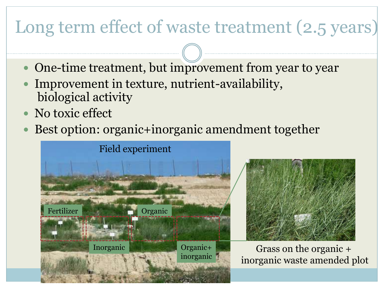# Long term effect of waste treatment (2.5 years)

- One-time treatment, but improvement from year to year
- Improvement in texture, nutrient-availability, biological activity
- No toxic effect
- Best option: organic+inorganic amendment together





Grass on the organic + inorganic waste amended plot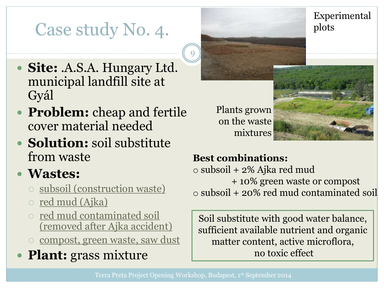## Case study No. 4.

Experimental plots

- **Site:** .A.S.A. Hungary Ltd. municipal landfill site at Gyál
- **Problem:** cheap and fertile cover material needed
- **Solution:** soil substitute from waste
- **Wastes:**
	- subsoil (construction waste)
	- o red mud (Ajka)
	- o red mud contaminated soil (removed after Ajka accident)
	- o compost, green waste, saw dust
- **Plant:** grass mixture

Plants grown on the waste mixtures



### **Best combinations:**

o subsoil + 2% Ajka red mud + 10% green waste or compost o subsoil + 20% red mud contaminated soil

Soil substitute with good water balance, sufficient available nutrient and organic matter content, active microflora, no toxic effect

9